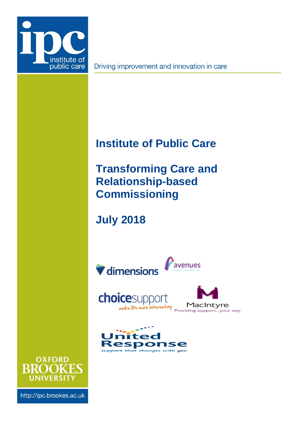

Driving improvement and innovation in care

# <span id="page-0-2"></span>**Institute of Public Care**

<span id="page-0-0"></span>**Transforming Care and Relationship-based Commissioning**

<span id="page-0-1"></span>**July 2018**







http://ipc.brookes.ac.uk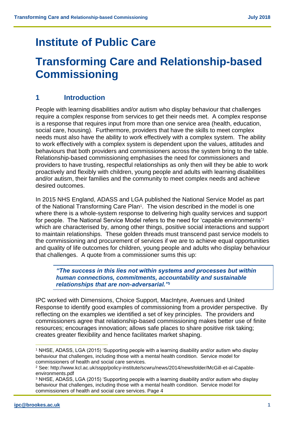## **[Institute of Public Care](#page-0-2)**

## **[Transforming Care and Relationship-based](#page-0-0)  [Commissioning](#page-0-0)**

## **1 Introduction**

People with learning disabilities and/or autism who display behaviour that challenges require a complex response from services to get their needs met. A complex response is a response that requires input from more than one service area (health, education, social care, housing). Furthermore, providers that have the skills to meet complex needs must also have the ability to work effectively with a complex system. The ability to work effectively with a complex system is dependent upon the values, attitudes and behaviours that both providers and commissioners across the system bring to the table. Relationship-based commissioning emphasises the need for commissioners and providers to have trusting, respectful relationships as only then will they be able to work proactively and flexibly with children, young people and adults with learning disabilities and/or autism, their families and the community to meet complex needs and achieve desired outcomes.

In 2015 NHS England, ADASS and LGA published the National Service Model as part of the National Transforming Care Plan<sup>1</sup>. The vision described in the model is one where there is a whole-system response to delivering high quality services and support for people. The National Service Model refers to the need for 'capable environments'<sup>2</sup> which are characterised by, among other things, positive social interactions and support to maintain relationships. These golden threads must transcend past service models to the commissioning and procurement of services if we are to achieve equal opportunities and quality of life outcomes for children, young people and adults who display behaviour that challenges. A quote from a commissioner sums this up:

*"The success in this lies not within systems and processes but within human connections, commitments, accountability and sustainable relationships that are non-adversarial."<sup>3</sup>*

IPC worked with Dimensions, Choice Support, MacIntyre, Avenues and United Response to identify good examples of commissioning from a provider perspective. By reflecting on the examples we identified a set of key principles. The providers and commissioners agree that relationship-based commissioning makes better use of finite resources; encourages innovation; allows safe places to share positive risk taking; creates greater flexibility and hence facilitates market shaping.

 $\overline{a}$ 

<sup>1</sup> NHSE, ADASS, LGA (2015) 'Supporting people with a learning disability and/or autism who display behaviour that challenges, including those with a mental health condition. Service model for commissioners of health and social care services.

<sup>2</sup> See: http://www.kcl.ac.uk/sspp/policy-institute/scwru/news/2014/newsfolder/McGill-et-al-Capableenvironments.pdf

<sup>3</sup> NHSE, ADASS, LGA (2015) 'Supporting people with a learning disability and/or autism who display behaviour that challenges, including those with a mental health condition. Service model for commissioners of health and social care services. Page 4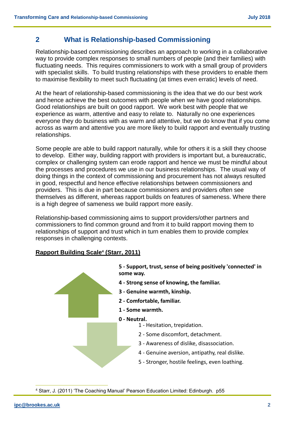### **2 What is Relationship-based Commissioning**

Relationship-based commissioning describes an approach to working in a collaborative way to provide complex responses to small numbers of people (and their families) with fluctuating needs. This requires commissioners to work with a small group of providers with specialist skills. To build trusting relationships with these providers to enable them to maximise flexibility to meet such fluctuating (at times even erratic) levels of need.

At the heart of relationship-based commissioning is the idea that we do our best work and hence achieve the best outcomes with people when we have good relationships. Good relationships are built on good rapport. We work best with people that we experience as warm, attentive and easy to relate to. Naturally no one experiences everyone they do business with as warm and attentive, but we do know that if you come across as warm and attentive you are more likely to build rapport and eventually trusting relationships.

Some people are able to build rapport naturally, while for others it is a skill they choose to develop. Either way, building rapport with providers is important but, a bureaucratic, complex or challenging system can erode rapport and hence we must be mindful about the processes and procedures we use in our business relationships. The usual way of doing things in the context of commissioning and procurement has not always resulted in good, respectful and hence effective relationships between commissioners and providers. This is due in part because commissioners and providers often see themselves as different, whereas rapport builds on features of sameness. Where there is a high degree of sameness we build rapport more easily.

Relationship-based commissioning aims to support providers/other partners and commissioners to find common ground and from it to build rapport moving them to relationships of support and trust which in turn enables them to provide complex responses in challenging contexts.

#### **Rapport Building Scale<sup>4</sup> (Starr, 2011)**



 $\overline{a}$ <sup>4</sup> Starr, J. (2011) 'The Coaching Manual' Pearson Education Limited: Edinburgh. p55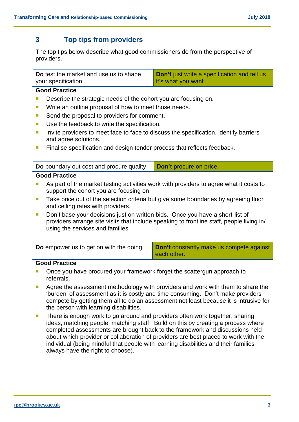### **3 Top tips from providers**

The top tips below describe what good commissioners do from the perspective of providers.

| Do test the market and use us to shape | <b>Don't</b> just write a specification and tell us |
|----------------------------------------|-----------------------------------------------------|
| your specification.                    | it's what you want.                                 |

#### **Good Practice**

- Describe the strategic needs of the cohort you are focusing on.
- **Write an outline proposal of how to meet those needs.**
- Send the proposal to providers for comment.
- Use the feedback to write the specification.
- Invite providers to meet face to face to discuss the specification, identify barriers and agree solutions.
- **Finalise specification and design tender process that reflects feedback.**

**Do** boundary out cost and procure quality **Don't** procure on price.

#### **Good Practice**

- As part of the market testing activities work with providers to agree what it costs to support the cohort you are focusing on.
- Take price out of the selection criteria but give some boundaries by agreeing floor and ceiling rates with providers.
- Don't base your decisions just on written bids. Once you have a short-list of providers arrange site visits that include speaking to frontline staff, people living in/ using the services and families.

| <b>Do</b> empower us to get on with the doing. | Don't constantly make us compete against<br>l each other. |
|------------------------------------------------|-----------------------------------------------------------|
|                                                |                                                           |

#### **Good Practice**

- Once you have procured your framework forget the scattergun approach to referrals.
- Agree the assessment methodology with providers and work with them to share the 'burden' of assessment as it is costly and time consuming. Don't make providers compete by getting them all to do an assessment not least because it is intrusive for the person with learning disabilities.
- There is enough work to go around and providers often work together, sharing ideas, matching people, matching staff. Build on this by creating a process where completed assessments are brought back to the framework and discussions held about which provider or collaboration of providers are best placed to work with the individual (being mindful that people with learning disabilities and their families always have the right to choose).